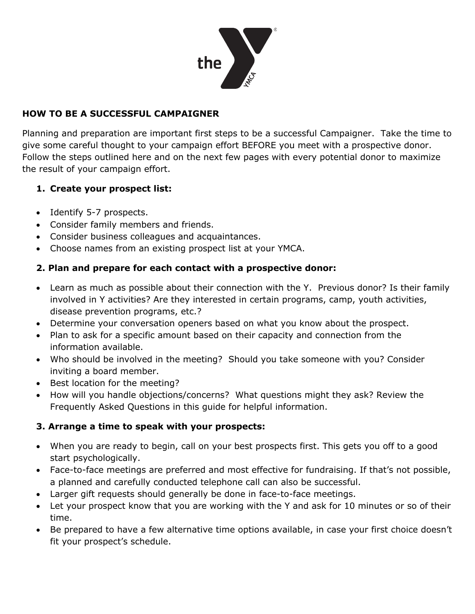

### **HOW TO BE A SUCCESSFUL CAMPAIGNER**

Planning and preparation are important first steps to be a successful Campaigner. Take the time to give some careful thought to your campaign effort BEFORE you meet with a prospective donor. Follow the steps outlined here and on the next few pages with every potential donor to maximize the result of your campaign effort.

#### **1. Create your prospect list:**

- Identify 5-7 prospects.
- Consider family members and friends.
- Consider business colleagues and acquaintances.
- Choose names from an existing prospect list at your YMCA.

#### **2. Plan and prepare for each contact with a prospective donor:**

- Learn as much as possible about their connection with the Y. Previous donor? Is their family involved in Y activities? Are they interested in certain programs, camp, youth activities, disease prevention programs, etc.?
- Determine your conversation openers based on what you know about the prospect.
- Plan to ask for a specific amount based on their capacity and connection from the information available.
- Who should be involved in the meeting? Should you take someone with you? Consider inviting a board member.
- Best location for the meeting?
- How will you handle objections/concerns? What questions might they ask? Review the Frequently Asked Questions in this guide for helpful information.

#### **3. Arrange a time to speak with your prospects:**

- When you are ready to begin, call on your best prospects first. This gets you off to a good start psychologically.
- Face-to-face meetings are preferred and most effective for fundraising. If that's not possible, a planned and carefully conducted telephone call can also be successful.
- Larger gift requests should generally be done in face-to-face meetings.
- Let your prospect know that you are working with the Y and ask for 10 minutes or so of their time.
- Be prepared to have a few alternative time options available, in case your first choice doesn't fit your prospect's schedule.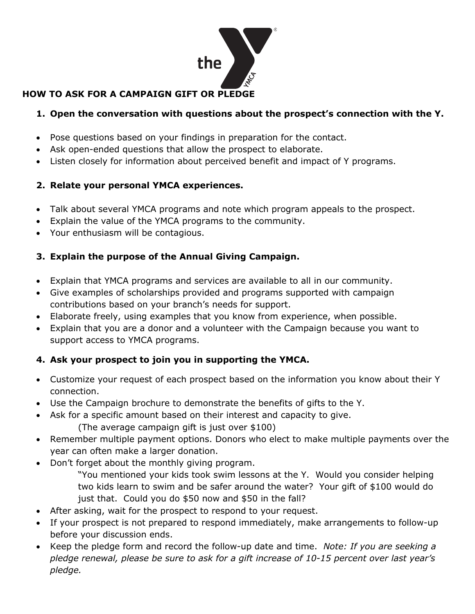

# **HOW TO ASK FOR A CAMPAIGN GIFT OR PLEDGE**

# **1. Open the conversation with questions about the prospect's connection with the Y.**

- Pose questions based on your findings in preparation for the contact.
- Ask open-ended questions that allow the prospect to elaborate.
- Listen closely for information about perceived benefit and impact of Y programs.

# **2. Relate your personal YMCA experiences.**

- Talk about several YMCA programs and note which program appeals to the prospect.
- Explain the value of the YMCA programs to the community.
- Your enthusiasm will be contagious.

# **3. Explain the purpose of the Annual Giving Campaign.**

- Explain that YMCA programs and services are available to all in our community.
- Give examples of scholarships provided and programs supported with campaign contributions based on your branch's needs for support.
- Elaborate freely, using examples that you know from experience, when possible.
- Explain that you are a donor and a volunteer with the Campaign because you want to support access to YMCA programs.

# **4. Ask your prospect to join you in supporting the YMCA.**

- Customize your request of each prospect based on the information you know about their Y connection.
- Use the Campaign brochure to demonstrate the benefits of gifts to the Y.
- Ask for a specific amount based on their interest and capacity to give.
	- (The average campaign gift is just over \$100)
- Remember multiple payment options. Donors who elect to make multiple payments over the year can often make a larger donation.
- Don't forget about the monthly giving program.
	- "You mentioned your kids took swim lessons at the Y. Would you consider helping two kids learn to swim and be safer around the water? Your gift of \$100 would do just that. Could you do \$50 now and \$50 in the fall?
- After asking, wait for the prospect to respond to your request.
- If your prospect is not prepared to respond immediately, make arrangements to follow-up before your discussion ends.
- Keep the pledge form and record the follow-up date and time. *Note: If you are seeking a pledge renewal, please be sure to ask for a gift increase of 10-15 percent over last year's pledge.*